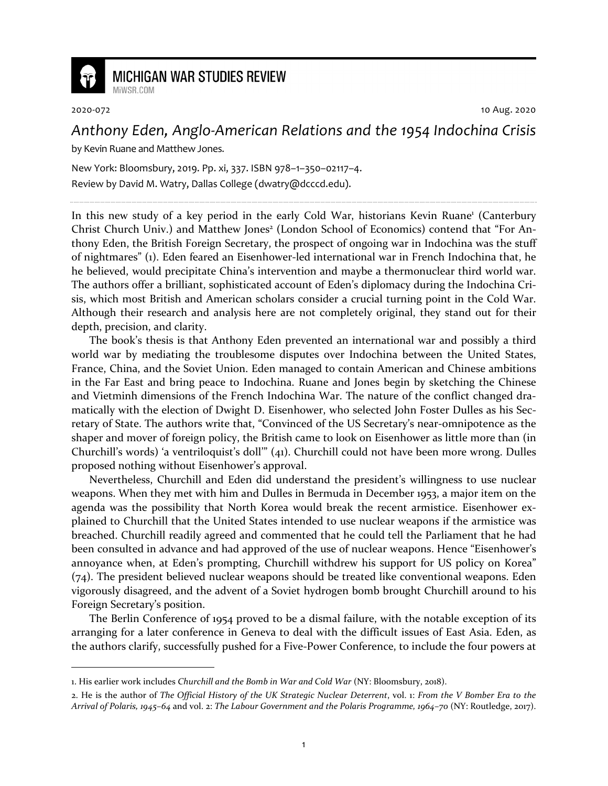

## **MICHIGAN WAR STUDIES REVIEW**

2020-072 10 Aug. 2020

## *Anthony Eden, Anglo-American Relations and the 1954 Indochina Crisis*

by Kevin Ruane and Matthew Jones.

MiWSR COM

New York: Bloomsbury, 2019. Pp. xi, 337. ISBN 978–1–350–02117–4. Review by David M. Watry, Dallas College (dwatry@dcccd.edu).

In this new study of a key period in the early Cold War, historians Kevin Ruane<sup>1</sup> (Canterbury Christ Church Univ.) and Matthew Jones<sup>2</sup> (London School of Economics) contend that "For Anthony Eden, the British Foreign Secretary, the prospect of ongoing war in Indochina was the stuff of nightmares" (1). Eden feared an Eisenhower-led international war in French Indochina that, he he believed, would precipitate China's intervention and maybe a thermonuclear third world war. The authors offer a brilliant, sophisticated account of Eden's diplomacy during the Indochina Crisis, which most British and American scholars consider a crucial turning point in the Cold War. Although their research and analysis here are not completely original, they stand out for their depth, precision, and clarity.

The book's thesis is that Anthony Eden prevented an international war and possibly a third world war by mediating the troublesome disputes over Indochina between the United States, France, China, and the Soviet Union. Eden managed to contain American and Chinese ambitions in the Far East and bring peace to Indochina. Ruane and Jones begin by sketching the Chinese and Vietminh dimensions of the French Indochina War. The nature of the conflict changed dramatically with the election of Dwight D. Eisenhower, who selected John Foster Dulles as his Secretary of State. The authors write that, "Convinced of the US Secretary's near-omnipotence as the shaper and mover of foreign policy, the British came to look on Eisenhower as little more than (in Churchill's words) 'a ventriloquist's doll'" (41). Churchill could not have been more wrong. Dulles proposed nothing without Eisenhower's approval.

Nevertheless, Churchill and Eden did understand the president's willingness to use nuclear weapons. When they met with him and Dulles in Bermuda in December 1953, a major item on the agenda was the possibility that North Korea would break the recent armistice. Eisenhower explained to Churchill that the United States intended to use nuclear weapons if the armistice was breached. Churchill readily agreed and commented that he could tell the Parliament that he had been consulted in advance and had approved of the use of nuclear weapons. Hence "Eisenhower's annoyance when, at Eden's prompting, Churchill withdrew his support for US policy on Korea" (74). The president believed nuclear weapons should be treated like conventional weapons. Eden vigorously disagreed, and the advent of a Soviet hydrogen bomb brought Churchill around to his Foreign Secretary's position.

The Berlin Conference of 1954 proved to be a dismal failure, with the notable exception of its arranging for a later conference in Geneva to deal with the difficult issues of East Asia. Eden, as the authors clarify, successfully pushed for a Five-Power Conference, to include the four powers at

<sup>1.</sup> His earlier work includes *Churchill and the Bomb in War and Cold War* (NY: Bloomsbury, 2018).

<sup>2.</sup> He is the author of *The Official History of the UK Strategic Nuclear Deterrent*, vol. 1: *From the V Bomber Era to the Arrival of Polaris, 1945–64* and vol. 2: *The Labour Government and the Polaris Programme, 1964–70* (NY: Routledge, 2017).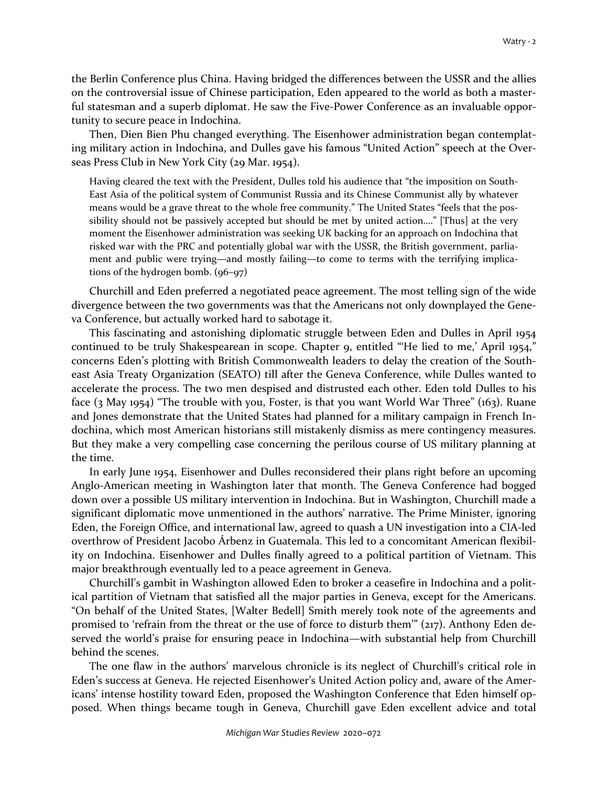the Berlin Conference plus China. Having bridged the differences between the USSR and the allies on the controversial issue of Chinese participation, Eden appeared to the world as both a masterful statesman and a superb diplomat. He saw the Five-Power Conference as an invaluable opportunity to secure peace in Indochina.

Then, Dien Bien Phu changed everything. The Eisenhower administration began contemplating military action in Indochina, and Dulles gave his famous "United Action" speech at the Overseas Press Club in New York City (29 Mar. 1954).

Having cleared the text with the President, Dulles told his audience that "the imposition on South-East Asia of the political system of Communist Russia and its Chinese Communist ally by whatever means would be a grave threat to the whole free community." The United States "feels that the possibility should not be passively accepted but should be met by united action…." [Thus] at the very moment the Eisenhower administration was seeking UK backing for an approach on Indochina that risked war with the PRC and potentially global war with the USSR, the British government, parliament and public were trying—and mostly failing—to come to terms with the terrifying implications of the hydrogen bomb. (96–97)

Churchill and Eden preferred a negotiated peace agreement. The most telling sign of the wide divergence between the two governments was that the Americans not only downplayed the Geneva Conference, but actually worked hard to sabotage it.

This fascinating and astonishing diplomatic struggle between Eden and Dulles in April 1954 continued to be truly Shakespearean in scope. Chapter 9, entitled "'He lied to me,' April 1954," concerns Eden's plotting with British Commonwealth leaders to delay the creation of the Southeast Asia Treaty Organization (SEATO) till after the Geneva Conference, while Dulles wanted to accelerate the process. The two men despised and distrusted each other. Eden told Dulles to his face (3 May 1954) "The trouble with you, Foster, is that you want World War Three" (163). Ruane and Jones demonstrate that the United States had planned for a military campaign in French Indochina, which most American historians still mistakenly dismiss as mere contingency measures. But they make a very compelling case concerning the perilous course of US military planning at the time.

In early June 1954, Eisenhower and Dulles reconsidered their plans right before an upcoming Anglo-American meeting in Washington later that month. The Geneva Conference had bogged down over a possible US military intervention in Indochina. But in Washington, Churchill made a significant diplomatic move unmentioned in the authors' narrative. The Prime Minister, ignoring Eden, the Foreign Office, and international law, agreed to quash a UN investigation into a CIA-led overthrow of President Jacobo Árbenz in Guatemala. This led to a concomitant American flexibility on Indochina. Eisenhower and Dulles finally agreed to a political partition of Vietnam. This major breakthrough eventually led to a peace agreement in Geneva.

Churchill's gambit in Washington allowed Eden to broker a ceasefire in Indochina and a political partition of Vietnam that satisfied all the major parties in Geneva, except for the Americans. "On behalf of the United States, [Walter Bedell] Smith merely took note of the agreements and promised to 'refrain from the threat or the use of force to disturb them'" (217). Anthony Eden deserved the world's praise for ensuring peace in Indochina—with substantial help from Churchill behind the scenes.

The one flaw in the authors' marvelous chronicle is its neglect of Churchill's critical role in Eden's success at Geneva. He rejected Eisenhower's United Action policy and, aware of the Americans' intense hostility toward Eden, proposed the Washington Conference that Eden himself opposed. When things became tough in Geneva, Churchill gave Eden excellent advice and total